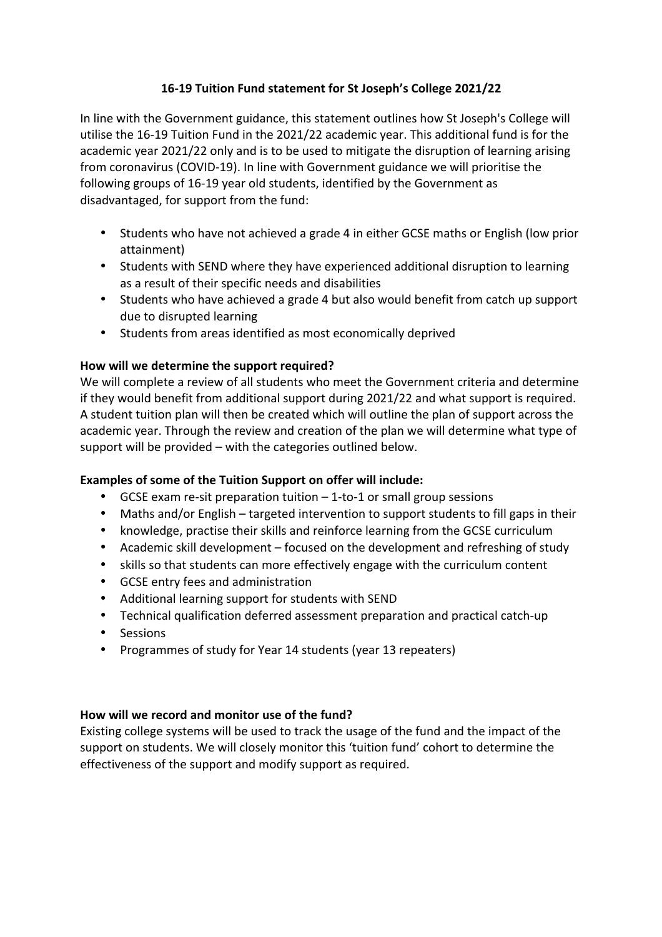# **16-19 Tuition Fund statement for St Joseph's College 2021/22**

In line with the Government guidance, this statement outlines how St Joseph's College will utilise the 16-19 Tuition Fund in the 2021/22 academic year. This additional fund is for the academic year 2021/22 only and is to be used to mitigate the disruption of learning arising from coronavirus (COVID-19). In line with Government guidance we will prioritise the following groups of 16-19 year old students, identified by the Government as disadvantaged, for support from the fund:

- Students who have not achieved a grade 4 in either GCSE maths or English (low prior attainment)
- Students with SEND where they have experienced additional disruption to learning as a result of their specific needs and disabilities
- Students who have achieved a grade 4 but also would benefit from catch up support due to disrupted learning
- Students from areas identified as most economically deprived

## How will we determine the support required?

We will complete a review of all students who meet the Government criteria and determine if they would benefit from additional support during 2021/22 and what support is required. A student tuition plan will then be created which will outline the plan of support across the academic year. Through the review and creation of the plan we will determine what type of support will be provided  $-$  with the categories outlined below.

## **Examples of some of the Tuition Support on offer will include:**

- GCSE exam re-sit preparation tuition  $-1$ -to-1 or small group sessions
- Maths and/or English targeted intervention to support students to fill gaps in their
- knowledge, practise their skills and reinforce learning from the GCSE curriculum
- Academic skill development focused on the development and refreshing of study
- skills so that students can more effectively engage with the curriculum content
- GCSE entry fees and administration
- Additional learning support for students with SEND
- Technical qualification deferred assessment preparation and practical catch-up
- Sessions
- Programmes of study for Year 14 students (year 13 repeaters)

## How will we record and monitor use of the fund?

Existing college systems will be used to track the usage of the fund and the impact of the support on students. We will closely monitor this 'tuition fund' cohort to determine the effectiveness of the support and modify support as required.